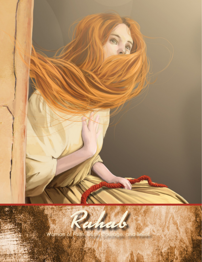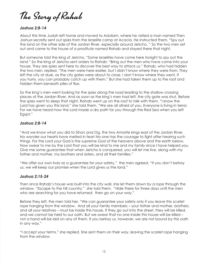The Story of Rahab

## *Joshua 2:8-14*

About this time Judah left home and moved to Adullam, where he visited a man named Then Joshua secretly sent out spies from the Israelite camp at Acacia. He instructed them, "Spy out the land on the other side of the Jordan River, especially around Jericho. " So the two men set out and came to the house of a prostitute named Rahab and stayed there that night.

But someone told the king of Jericho, "Some Israelites have come here tonight to spy out the land." So the king of Jericho sent orders to Rahab: "Bring out the men who have come into your house. They are spies sent here to discover the best way to attack us." Rahab, who had hidden the two men, replied, "The men were here earlier, but I didn't know where they were from. They left the city at dusk, as the city gates were about to close. I don't know where they went. If you hurry, you can probably catch up with them." But she had taken them up to the roof and hidden them beneath piles of flax.

So the king's men went looking for the spies along the road leading to the shallow crossing places of the Jordan River. And as soon as the king's men had left, the city gate was shut. Before the spies went to sleep that night, Rahab went up on the roof to talk with them. "I know the Lord has given you this land," she told them. "We are all afraid of you. Everyone is living in terror. For we have heard how the Lord made a dry path for you through the Red Sea when you left Egypt."

#### *Joshua 2:8-14*

"And we know what you did to Sihon and Og, the two Amorite kings east of the Jordan River. No wonder our hearts have melted in fear! No one has the courage to fight after hearing such things. For the Lord your God is the supreme God of the heavens above and the earth below. Now swear to me by the Lord that you will be kind to me and my family since I have helped you. Give me some guarantee that when Jericho is conquered, you will let me live, along with my father and mother, my brothers and sisters, and all their families."

"We offer our own lives as a guarantee for your safety," the men agreed. "If you don't betray us, we will keep our promise when the Lord gives us the land."

#### *Joshua 2:15-24*

Then since Rahab's house was built into the city wall, she let them down by a rope through the window. "Escape to the hill country," she told them. "Hide there for three days until the men who are searching for you have returned; then go on your way."

Before they left, the men told her, "We can guarantee your safety only if you leave this scarlet rope hanging from the window. And all your family members – your father and mother, brothers, and all your relatives – must be inside this house. If they go out into the street, they will be killed, and we cannot be held to our oath. But we swear that no one inside this house will be killed – not a hand will be laid on any of them. If you betray us, however, we are not bound by this oath in any way."

"I accept your terms." she replied. She sent them on their way, leaving the scarlet rope hanging from the window.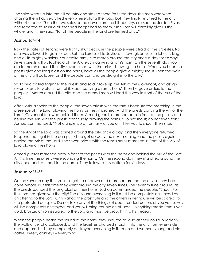The spies went up into the hill country and stayed there for three days. The men who were chasing them had searched everywhere along the road, but they finally returned to the city without success. Then the two spies came down from the hill country, crossed the Jordan River, and reported to Joshua all that had happened to them. "The Lord will certainly give us the whole land," they said, "for all the people in the land are terrified of us."

## *Joshua 6:1-14*

Now the gates of Jericho were tightly shut because the people were afraid of the Israelites. No one was allowed to go in or out. But the Lord said to Joshua, "I have given you Jericho, its king, and all its mighty warriors. Your entire army is to march around the city once a day for six days. Seven priests will walk ahead of the Ark, each carrying a ram's horn. On the seventh day you are to march around the city seven times, with the priests blowing the horns. When you hear the priests give one long blast on the horns, have all the people give a mighty shout. Then the walls of the city will collapse, and the people can charge straight into the city."

So Joshua called together the priests and said, "Take up the Ark of the Covenant, and assign seven priests to walk in front of it, each carrying a ram's horn." Then he gave orders to the people: "March around the city, and the armed men will lead the way in front of the Ark of the Lord."

After Joshua spoke to the people, the seven priests with the ram's horns started marching in the presence of the Lord, blowing the horns as they marched. And the priests carrying the Ark of the Lord's Covenant followed behind them. Armed guards marched both in front of the priests and behind the Ark, with the priests continually blowing the horns. "Do not shout; do not even talk," Joshua commanded. "Not a single word from any of you until I tell you to shout. Then shout!"

So the Ark of the Lord was carried around the city once a day, and then everyone returned to spend the night in the camp. Joshua got up early the next morning, and the priests again carried the Ark of the Lord. The seven priests with the ram's horns marched in front of the Ark of Lord blowing their horns.

Armed guards marched both in front of the priests with the horns and behind the Ark of the Lord. All this time the priests were sounding the horns. On the second day they marched around the city once and returned to the camp. They followed this pattern for six days.

## *Joshua 6:15-25*

On the seventh day the Israelites got up at dawn and marched around the city as they had done before. But this time they went around the city seven times. The seventh time around, as the priests sounded the long blast on their horns, Joshua commanded the people, "Shout! For the Lord has given you the city! The city and everything in it must be completely destroyed as an offering to the Lord. Only Rahab the prostitute and the others in her house will be spared, for she protected our spies. Do not take any of the things set apart for destruction, or you yourselves will be completely destroyed, and you will bring trouble on all Israel. Everything made from silver, gold, bronze, or iron is sacred to the Lord and must be brought into his treasury."

When the people heard the sound of the horns, they shouted as loud as they could. Suddenly, the walls of Jericho collapsed, and the Israelites charged straight into the city from every side and captured it. They completely destroyed everything in it – men and women, young and old, cattle, sheep, donkeys – everything.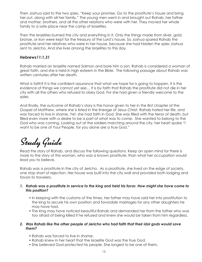Then Joshua said to the two spies, "Keep your promise. Go to the prostitute's house and bring her out, along with all her family." The young men went in and brought out Rahab, her father and mother, brothers, and all the other relations who were with her. They moved her whole family to a safe place near the camp of Israelites.

Then the Israelites burned the city and everything in it. Only the things made from silver, gold, bronze, or iron were kept for the treasury of the Lord's house. So Joshua spared Rahab the prostitute and her relatives who were in her house, because she had hidden the spies Joshua sent to Jericho. And she lives among the Israelites to this day.

## *Hebrews11:1,31*

Rahab married an Israelite named Salmon and bore him a son. Rahab is considered a woman of great faith, and she is held in high esteem in the Bible. The following passage about Rahab was written centuries after her death.

What is faith? It is the confident assurance that what we hope for is going to happen. It is the evidence of things we cannot yet see… It is by faith that Rahab the prostitute did not die in her city with all the others who refused to obey God. For she had given a friendly welcome to the spies.

And finally, the outcome of Rahab's story is the honor given to her in the first chapter of the Gospel of Matthew, where she is listed in the lineage of Jesus Christ. Rahab hated her life, and was forced to live in shame. Yet, she had faith in God. She was filled with the terror of death, but filled even more with a desire to be a part of what was to come. She wanted to belong to the God who was coming. Looking out at the soldiers marching around the city, her heart spoke "I want to be one of Your People, for you alone are a true God."

# Study Guide

Read the story of Rahab, and discuss the following questions. Keep an open mind for there is more to the story of this woman, who was a known prostitute, than what her occupation would lead you to believe.

Rahab was a prostitute in the city of Jericho. As a prostitute, she lived on the edge of society, one stop short of rejection. Her house was built into the city wall and provided both lodging and favors to travelers.

- *1. Rahab was a prostitute in service to the king and held his favor. How might she have come to this position?*
	- In keeping with the customs of the times, her father may have sold her into prostitution to the king to secure his own position and favorable marriages for any other daughters he may have had.
	- The king may have noticed beautiful Rahab and demanded her from the father who was too afraid of being killed if he refused and knew she would be taken from him regardless.

#### *2. Was Rahab like the other people of Jericho who had faith that their idol gods would save them?*

- Rahab was forced to live in shame.
- Rahab knew in her heart that the Israelite God was the true God.
- She believed God protected his people. She longed to be one of them.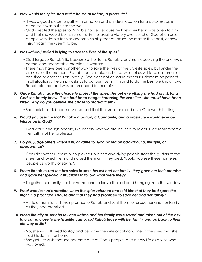#### *3. Why would the spies stop at the house of Rahab, a prostitute?*

- It was a good place to gather information and an ideal location for a quick escape because it was built into the wall.
- God directed the spies to Rahab's house because he knew her heart was open to him and that she would be instrumental in the Israelite victory over Jericho. God often uses people with simple faith to accomplish his great purposes; no matter their past, or how insignificant they seem to be.

## *4. Was Rahab justified in lying to save the lives of the spies?*

- God forgave Rahab's lie because of her faith; Rahab was simply deceiving the enemy, a normal and acceptable practice in warfare.
- There may have been another way to save the lives of the Israelite spies, but under the pressure of the moment, Rahab had to make a choice. Most of us will face dilemmas at one time or another. Fortunately, God does not demand that our judgment be perfect in all situations. He simply asks us to put our trust in him and to do the best we know how. Rahab did that and was commended for her faith.

#### *5. Once Rahab made the choice to protect the spies, she put everything she had at risk for a God she barely knew. If she had been caught harboring the Israelites, she could have been killed. Why do you believe she chose to protect them?*

• She took the risk because she sensed that the Israelites relied on a God worth trusting.

#### *6. Would you assume that Rahab – a pagan, a Canaanite, and a prostitute – would ever be interested in God?*

• God works through people, like Rahab, who we are inclined to reject. God remembered her faith, not her profession.

### *7. Do you judge others' interest in, or value to, God based on background, lifestyle, or appearance?*

• Consider Mother Teresa, who picked up lepers and dying people from the gutters of the street and loved them and nursed them until they died. Would you see these homeless people as worthy of saving?

#### *8. When Rahab asked the two spies to save herself and her family, they gave her their promise and gave her specific instructions to follow, what were they?*

• To gather her family into her home, and to leave the red cord hanging from the window.

#### *9. What was Joshua's reaction when the spies returned and told him that they had spent the night in a prostitute's house and that they had promised to save her and her family?*

• He told them to fulfill their promise to Rahab and sent them to rescue her and her family as they had promised.

#### *10. When the city of Jericho fell and Rahab and her family were saved and taken out of the city to a camp close to the Israelite camp, did Rahab leave with her family and go back to their old way of life?*

- No, she was allowed to stay and became the wife of Salmon, one of the spies that she had hidden in her home.
- She got her wish that she became one of God's people, and a new life as a wife who was loved.